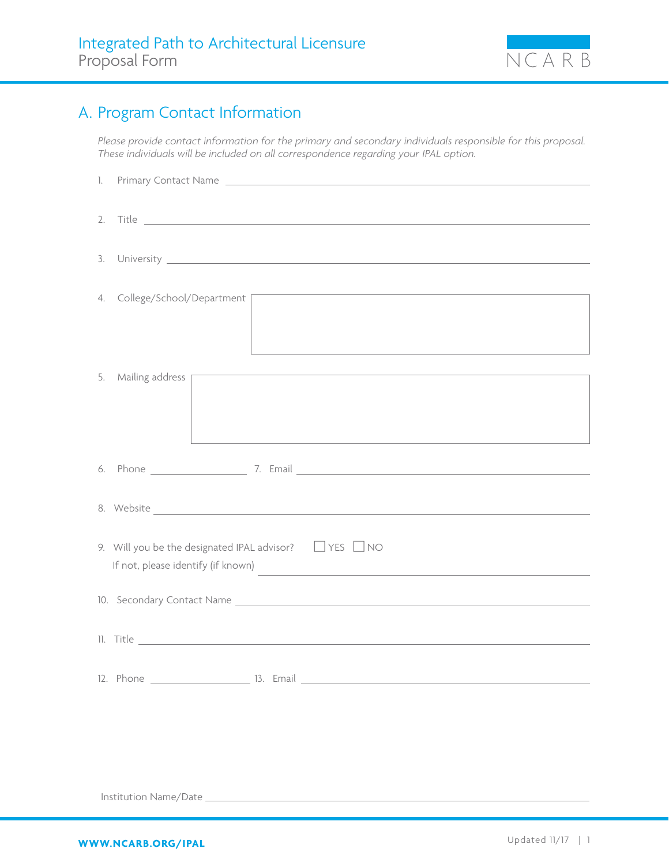

## A. Program Contact Information

*Please provide contact information for the primary and secondary individuals responsible for this proposal. These individuals will be included on all correspondence regarding your IPAL option.*

|    | 1. Primary Contact Name 2008 2009 2010 2021 2022 2023 2024 2022 2023 2024 2022 2023 2024 2022 2023 2024 2022 20                          |  |  |  |  |
|----|------------------------------------------------------------------------------------------------------------------------------------------|--|--|--|--|
|    |                                                                                                                                          |  |  |  |  |
|    |                                                                                                                                          |  |  |  |  |
|    |                                                                                                                                          |  |  |  |  |
|    |                                                                                                                                          |  |  |  |  |
|    |                                                                                                                                          |  |  |  |  |
|    | 4. College/School/Department                                                                                                             |  |  |  |  |
|    |                                                                                                                                          |  |  |  |  |
|    | the control of the control of the control of the control of the control of the control of                                                |  |  |  |  |
| 5. | <u> 1980 - An Dùbhlachd ann an Dùbhlachd ann an Dùbhlachd ann an Dùbhlachd ann an Dùbhlachd ann an Dùbhlachd ann </u><br>Mailing address |  |  |  |  |
|    |                                                                                                                                          |  |  |  |  |
|    |                                                                                                                                          |  |  |  |  |
|    |                                                                                                                                          |  |  |  |  |
|    |                                                                                                                                          |  |  |  |  |
|    |                                                                                                                                          |  |  |  |  |
|    |                                                                                                                                          |  |  |  |  |
|    |                                                                                                                                          |  |  |  |  |
|    | 9. Will you be the designated IPAL advisor? $\Box$ YES $\Box$ NO                                                                         |  |  |  |  |
|    |                                                                                                                                          |  |  |  |  |
|    | 10. Secondary Contact Name 2008 2009 2010 2021 2022 2023 2024 2022 2023 2024 2022 2023 2024 2022 2023 2024 20                            |  |  |  |  |
|    |                                                                                                                                          |  |  |  |  |
|    |                                                                                                                                          |  |  |  |  |
|    |                                                                                                                                          |  |  |  |  |
|    |                                                                                                                                          |  |  |  |  |
|    |                                                                                                                                          |  |  |  |  |
|    |                                                                                                                                          |  |  |  |  |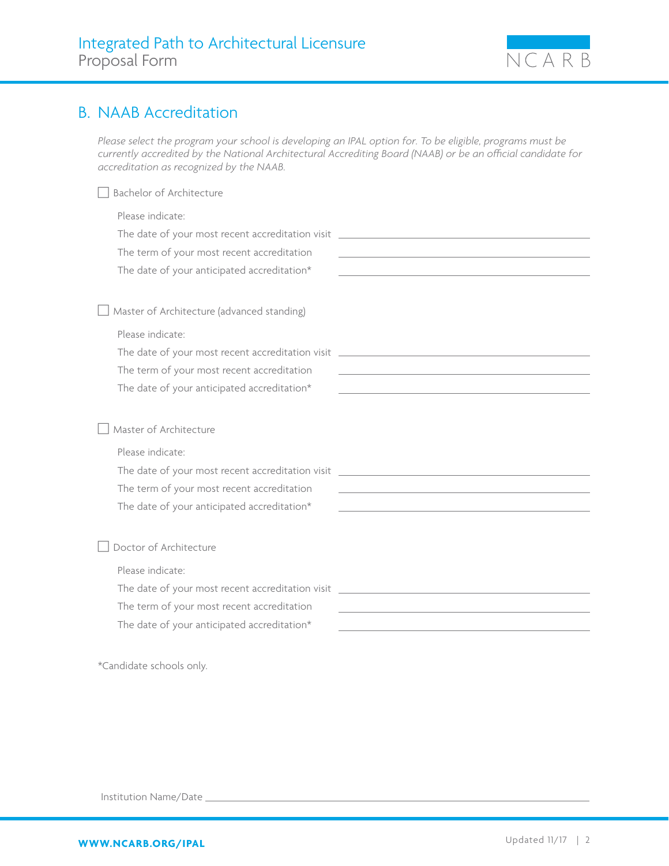

### B. NAAB Accreditation

*Please select the program your school is developing an IPAL option for. To be eligible, programs must be currently accredited by the National Architectural Accrediting Board (NAAB) or be an official candidate for accreditation as recognized by the NAAB.*

#### Bachelor of Architecture

Please indicate:

The date of your most recent accreditation visit \_

The term of your most recent accreditation

The date of your anticipated accreditation\*

 $\Box$  Master of Architecture (advanced standing)

Please indicate:

The date of your most recent accreditation visit The term of your most recent accreditation The date of your anticipated accreditation\*

#### Master of Architecture

Please indicate:

The date of your most recent accreditation visit The term of your most recent accreditation The date of your anticipated accreditation\*

#### Doctor of Architecture

Please indicate:

The date of your most recent accreditation visit \_

The term of your most recent accreditation

The date of your anticipated accreditation\*

\*Candidate schools only.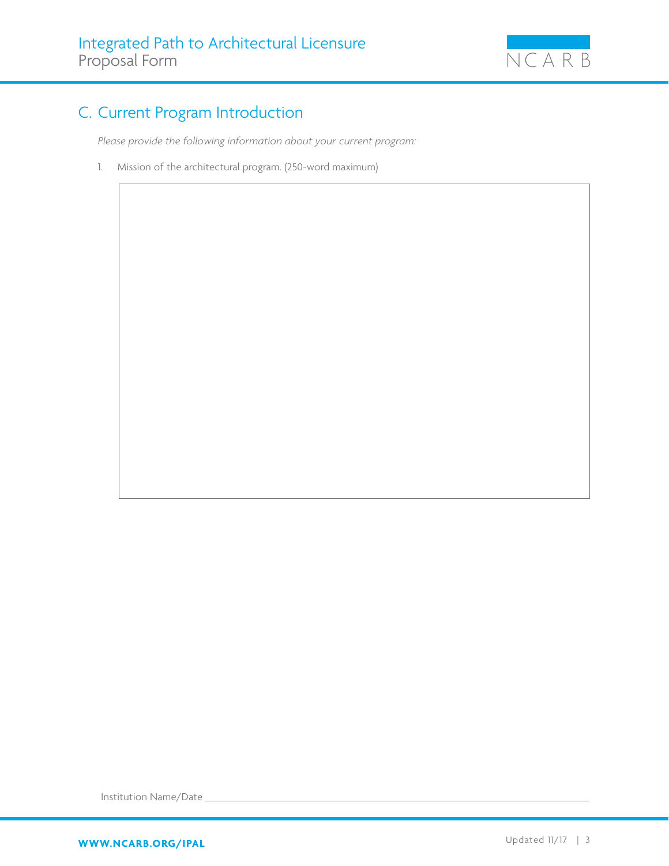

## C. Current Program Introduction

*Please provide the following information about your current program:*

1. Mission of the architectural program. (250-word maximum)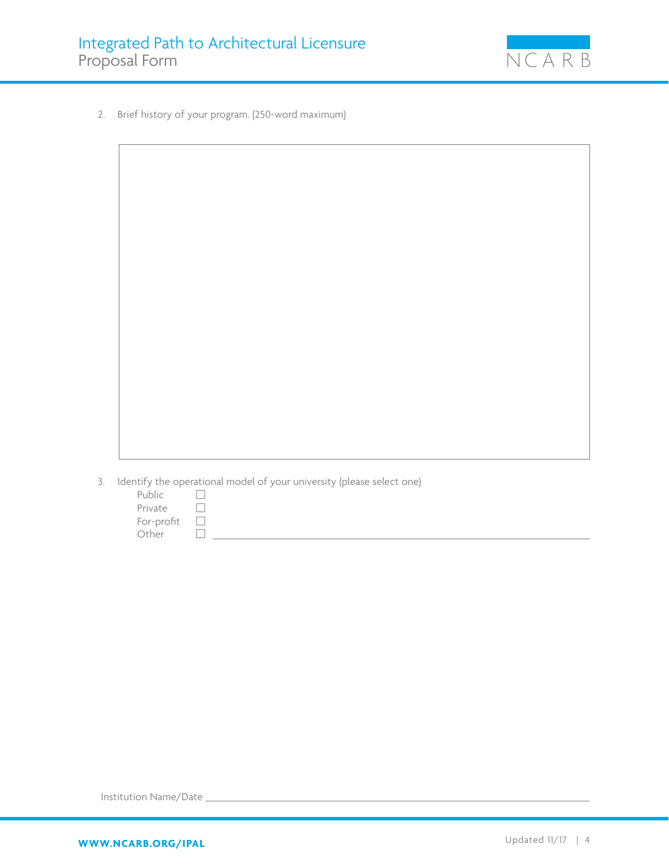

2. Brief history of your program. (250-word maximum)

| 3. Identify the operational model of your university (please select one) |  |  |  |  |
|--------------------------------------------------------------------------|--|--|--|--|
|                                                                          |  |  |  |  |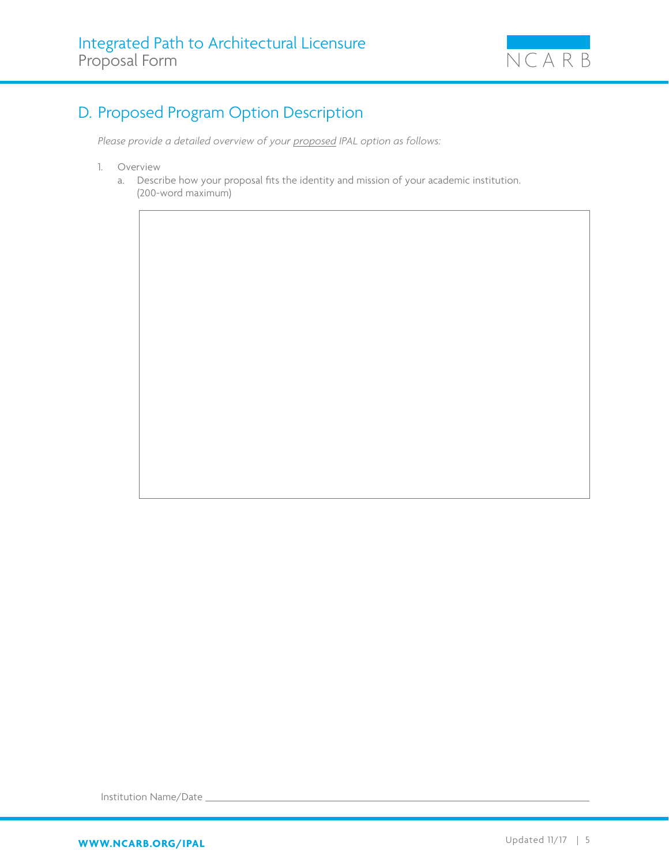

# D. Proposed Program Option Description

*Please provide a detailed overview of your proposed IPAL option as follows:*

- 1. Overview
	- a. Describe how your proposal fits the identity and mission of your academic institution. (200-word maximum)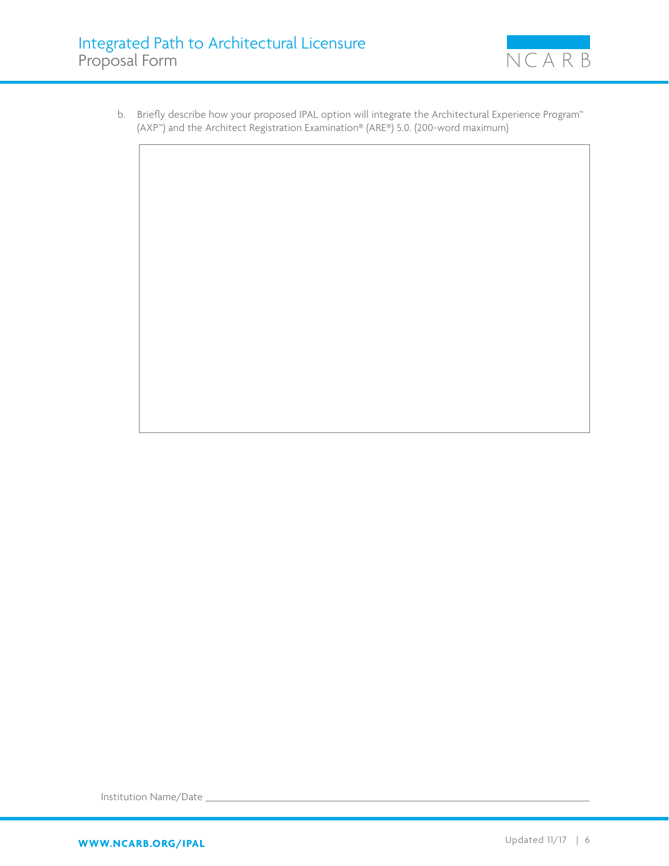

b. Briefly describe how your proposed IPAL option will integrate the Architectural Experience Program™ (AXP™) and the Architect Registration Examination® (ARE®) 5.0. (200-word maximum)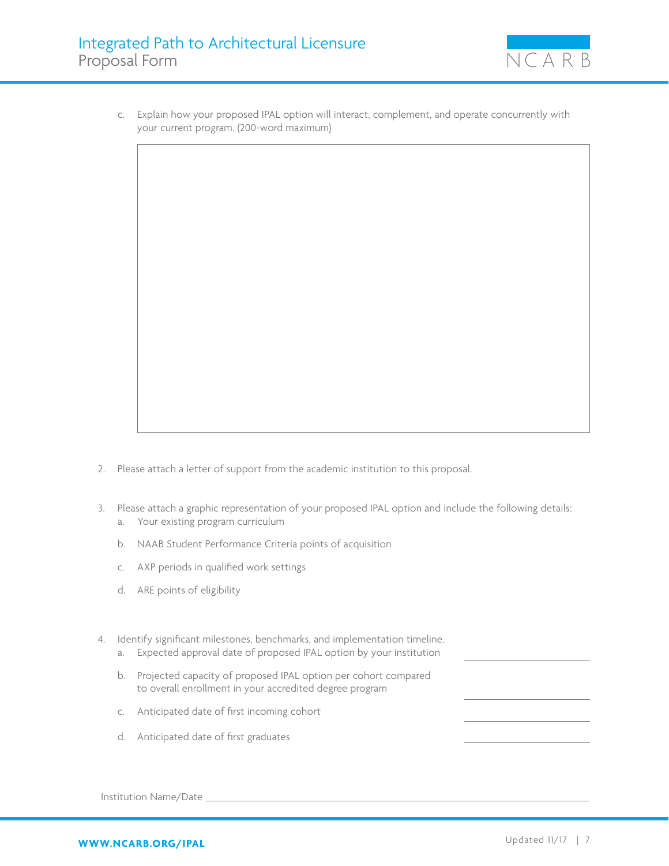

c. Explain how your proposed IPAL option will interact, complement, and operate concurrently with your current program. (200-word maximum)

2. Please attach a letter of support from the academic institution to this proposal.

- 3. Please attach a graphic representation of your proposed IPAL option and include the following details: a. Your existing program curriculum
	- b. NAAB Student Performance Criteria points of acquisition
	- c. AXP periods in qualified work settings
	- d. ARE points of eligibility

4. Identify significant milestones, benchmarks, and implementation timeline.

- a. Expected approval date of proposed IPAL option by your institution
- b. Projected capacity of proposed IPAL option per cohort compared to overall enrollment in your accredited degree program
- c. Anticipated date of first incoming cohort
- d. Anticipated date of first graduates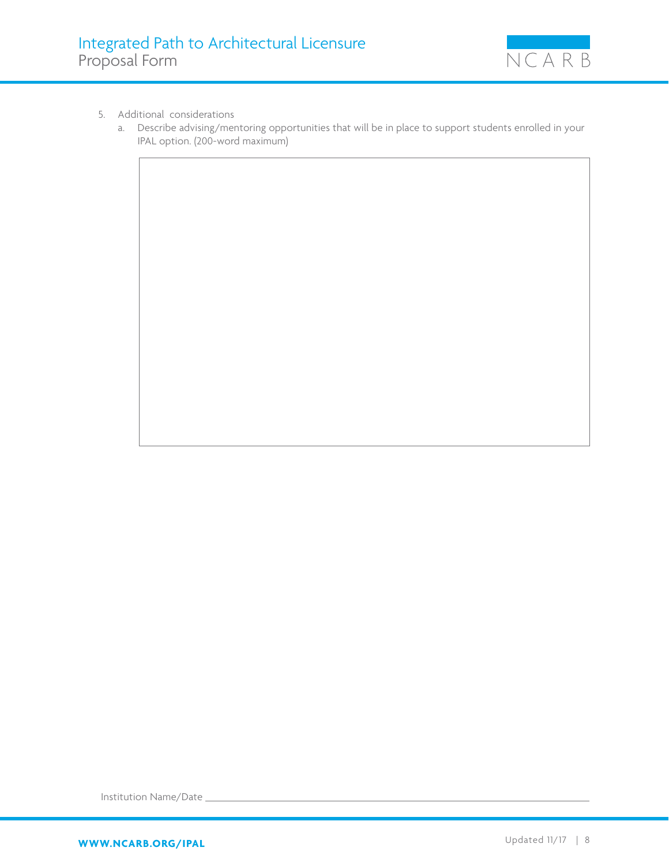

- 5. Additional considerations
	- a. Describe advising/mentoring opportunities that will be in place to support students enrolled in your IPAL option. (200-word maximum)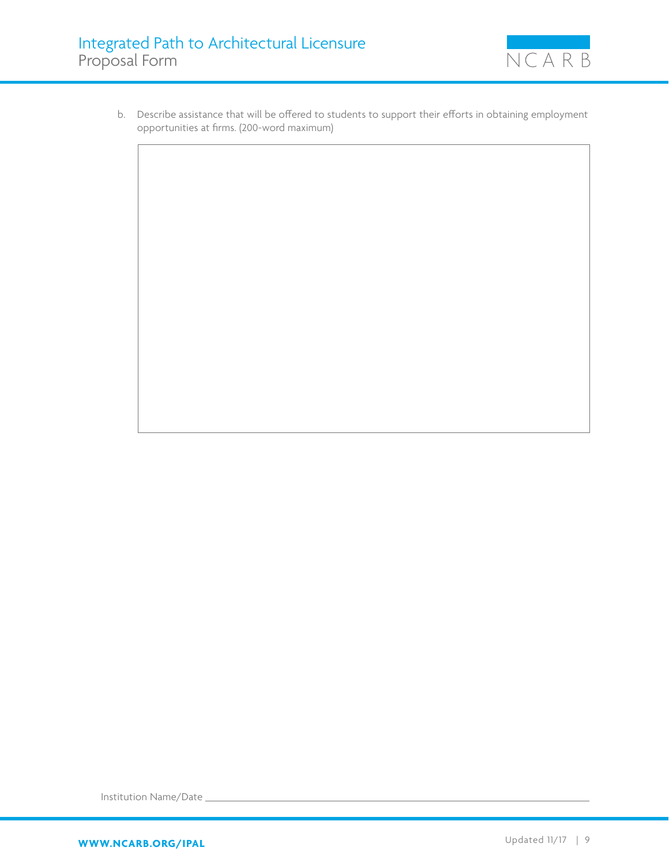

b. Describe assistance that will be offered to students to support their efforts in obtaining employment opportunities at firms. (200-word maximum)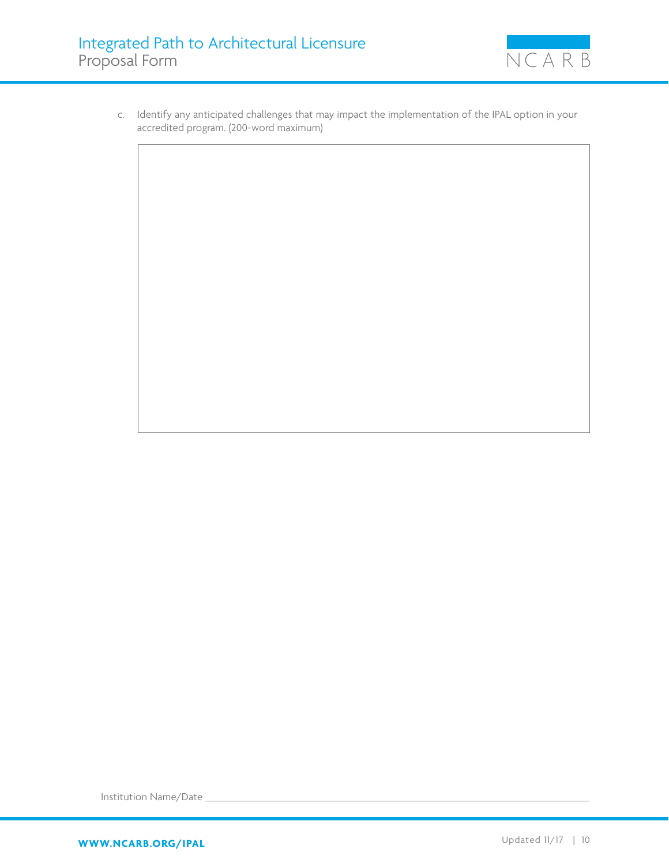

c. Identify any anticipated challenges that may impact the implementation of the IPAL option in your accredited program. (200-word maximum)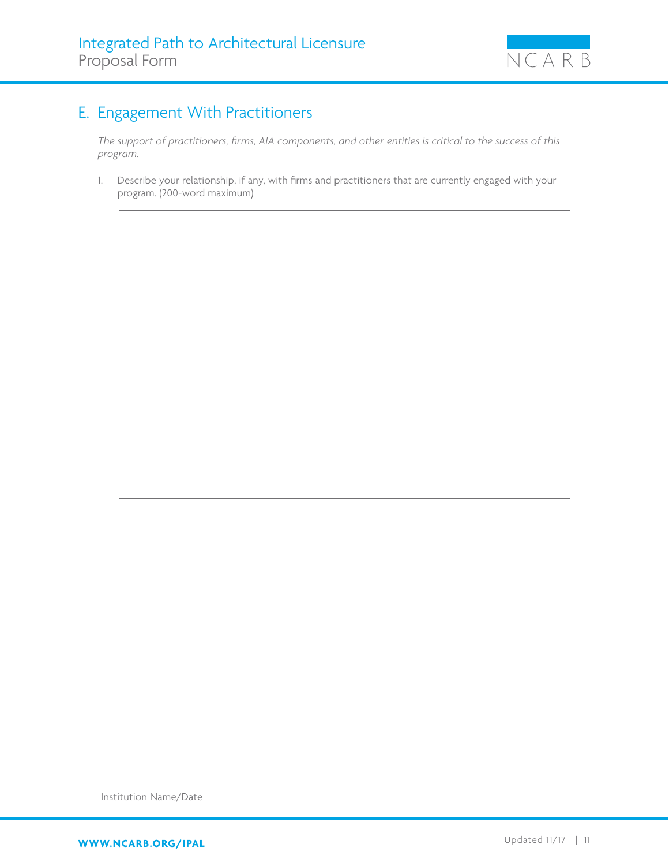

# E. Engagement With Practitioners

*The support of practitioners, firms, AIA components, and other entities is critical to the success of this program.*

1. Describe your relationship, if any, with firms and practitioners that are currently engaged with your program. (200-word maximum)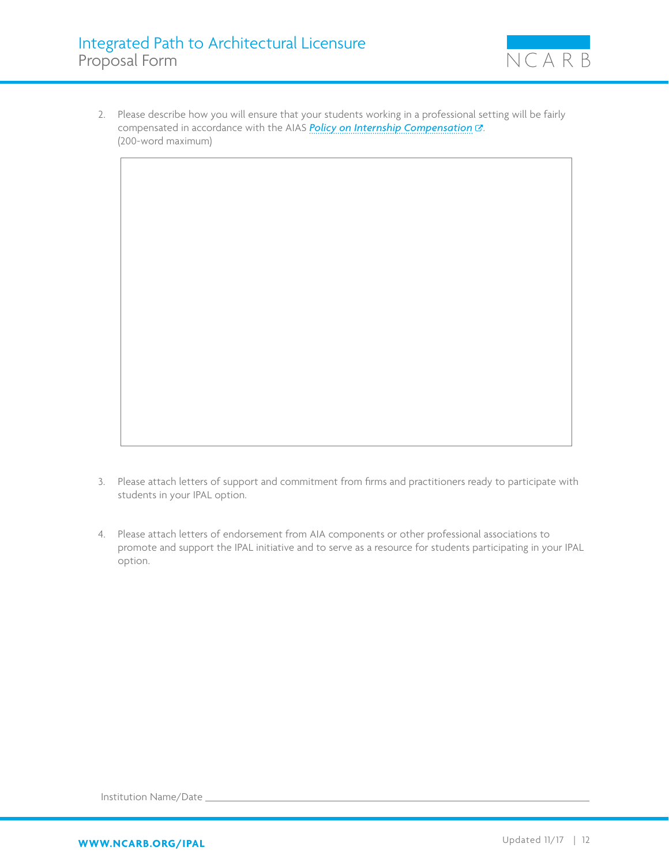

2. Please describe how you will ensure that your students working in a professional setting will be fairly compensated in accordance with the AIAS *[Policy on Internship Compensation](http://www.aias.org/wp-content/uploads/2017/02/InternPolicy.pdf)* . (200-word maximum)

- 3. Please attach letters of support and commitment from firms and practitioners ready to participate with students in your IPAL option.
- 4. Please attach letters of endorsement from AIA components or other professional associations to promote and support the IPAL initiative and to serve as a resource for students participating in your IPAL option.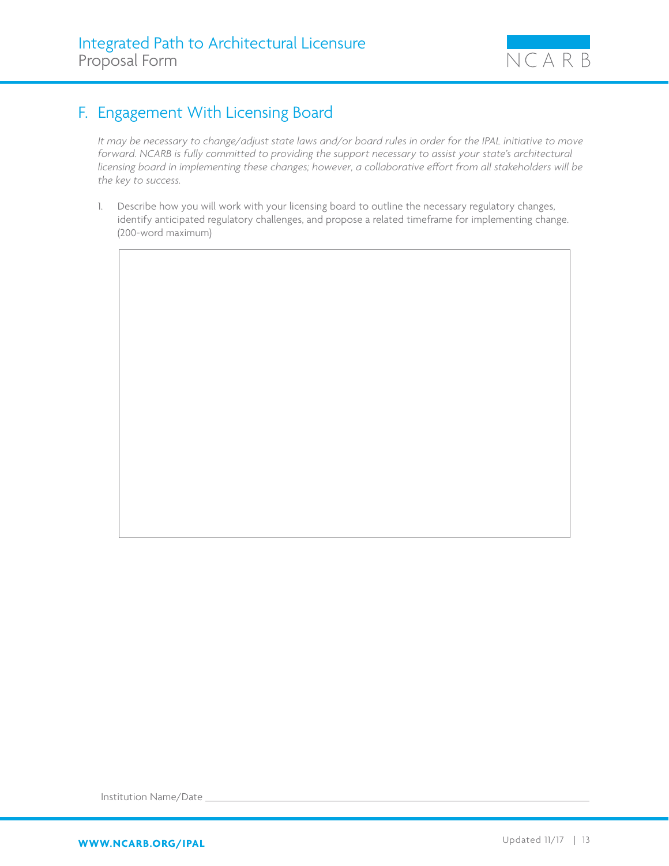

### F. Engagement With Licensing Board

*It may be necessary to change/adjust state laws and/or board rules in order for the IPAL initiative to move forward. NCARB is fully committed to providing the support necessary to assist your state's architectural licensing board in implementing these changes; however, a collaborative effort from all stakeholders will be the key to success.*

1. Describe how you will work with your licensing board to outline the necessary regulatory changes, identify anticipated regulatory challenges, and propose a related timeframe for implementing change. (200-word maximum)